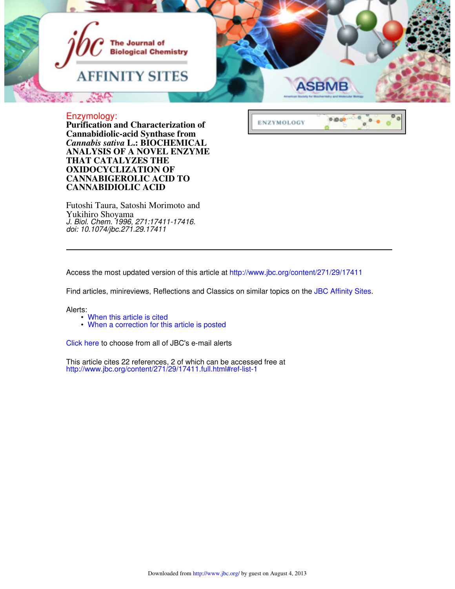

 $^{\circ}$ 

ø

 $\bullet$ 

PiBob

**ENZYMOLOGY** 

## Enzymology:

**CANNABIDIOLIC ACID CANNABIGEROLIC ACID TO OXIDOCYCLIZATION OF THAT CATALYZES THE ANALYSIS OF A NOVEL ENZYME**  *Cannabis sativa* **L.: BIOCHEMICAL Cannabidiolic-acid Synthase from Purification and Characterization of**

Yukihiro Shoyama Futoshi Taura, Satoshi Morimoto and *doi: 10.1074/jbc.271.29.17411 J. Biol. Chem. 1996, 271:17411-17416.*

Access the most updated version of this article at http://www.jbc.org/content/271/29/17411

Find articles, minireviews, Reflections and Classics on similar topics on the JBC Affinity Sites.

### Alerts:

- When this article is cited
- When a correction for this article is posted

Click here to choose from all of JBC's e-mail alerts

http://www.jbc.org/content/271/29/17411.full.html#ref-list-1 This article cites 22 references, 2 of which can be accessed free at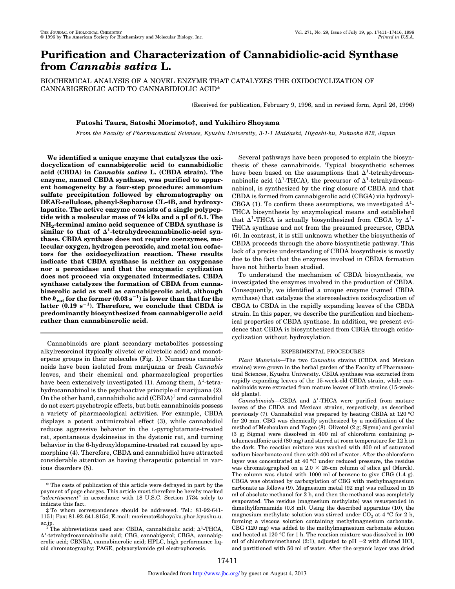# **Purification and Characterization of Cannabidiolic-acid Synthase from** *Cannabis sativa* **L.**

BIOCHEMICAL ANALYSIS OF A NOVEL ENZYME THAT CATALYZES THE OXIDOCYCLIZATION OF CANNABIGEROLIC ACID TO CANNABIDIOLIC ACID\*

(Received for publication, February 9, 1996, and in revised form, April 26, 1996)

### **Futoshi Taura, Satoshi Morimoto‡, and Yukihiro Shoyama**

*From the Faculty of Pharmaceutical Sciences, Kyushu University, 3-1-1 Maidashi, Higashi-ku, Fukuoka 812, Japan*

**We identified a unique enzyme that catalyzes the oxidocyclization of cannabigerolic acid to cannabidiolic acid (CBDA) in** *Cannabis sativa* **L. (CBDA strain). The enzyme, named CBDA synthase, was purified to apparent homogeneity by a four-step procedure: ammonium sulfate precipitation followed by chromatography on DEAE-cellulose, phenyl-Sepharose CL-4B, and hydroxylapatite. The active enzyme consists of a single polypeptide with a molecular mass of 74 kDa and a pI of 6.1. The NH<sup>2</sup> -terminal amino acid sequence of CBDA synthase is**  $\sin$ **ilar** to that of  $\Delta^1$ -tetrahydrocannabinolic-acid syn**thase. CBDA synthase does not require coenzymes, molecular oxygen, hydrogen peroxide, and metal ion cofactors for the oxidocyclization reaction. These results indicate that CBDA synthase is neither an oxygenase nor a peroxidase and that the enzymatic cyclization does not proceed via oxygenated intermediates. CBDA synthase catalyzes the formation of CBDA from cannabinerolic acid as well as cannabigerolic acid, although** the  $k_{\text{cat}}$  for the former  $(0.03 \text{ s}^{-1})$  is lower than that for the latter (0.19 s<sup>-1</sup>). Therefore, we conclude that CBDA is **predominantly biosynthesized from cannabigerolic acid rather than cannabinerolic acid.**

Cannabinoids are plant secondary metabolites possessing alkylresorcinol (typically olivetol or olivetolic acid) and monoterpene groups in their molecules (Fig. 1). Numerous cannabinoids have been isolated from marijuana or fresh *Cannabis* leaves, and their chemical and pharmacological properties have been extensively investigated (1). Among them,  $\Delta^1$ -tetrahydrocannabinol is the psychoactive principle of marijuana (2). On the other hand, cannabidiolic acid (CBDA)<sup>1</sup> and cannabidiol do not exert psychotropic effects, but both cannabinoids possess a variety of pharmacological activities. For example, CBDA displays a potent antimicrobial effect (3), while cannabidiol reduces aggressive behavior in the L-pyroglutamate-treated rat, spontaneous dyskinesias in the dystonic rat, and turning behavior in the 6-hydroxyldopamine-treated rat caused by apomorphine (4). Therefore, CBDA and cannabidiol have attracted considerable attention as having therapeutic potential in various disorders (5).

Several pathways have been proposed to explain the biosynthesis of these cannabinoids. Typical biosynthetic schemes have been based on the assumptions that  $\Delta^1$ -tetrahydrocannabinolic acid ( $\Delta^1$ -THCA), the precursor of  $\Delta^1$ -tetrahydrocannabinol, is synthesized by the ring closure of CBDA and that CBDA is formed from cannabigerolic acid (CBGA) via hydroxyl-CBGA (1). To confirm these assumptions, we investigated  $\Delta^1$ -THCA biosynthesis by enzymological means and established that  $\Delta^1$ -THCA is actually biosynthesized from CBGA by  $\Delta^1$ -THCA synthase and not from the presumed precursor, CBDA (6). In contrast, it is still unknown whether the biosynthesis of CBDA proceeds through the above biosynthetic pathway. This lack of a precise understanding of CBDA biosynthesis is mostly due to the fact that the enzymes involved in CBDA formation have not hitherto been studied.

To understand the mechanism of CBDA biosynthesis, we investigated the enzymes involved in the production of CBDA. Consequently, we identified a unique enzyme (named CBDA synthase) that catalyzes the stereoselective oxidocyclization of CBGA to CBDA in the rapidly expanding leaves of the CBDA strain. In this paper, we describe the purification and biochemical properties of CBDA synthase. In addition, we present evidence that CBDA is biosynthesized from CBGA through oxidocyclization without hydroxylation.

#### EXPERIMENTAL PROCEDURES

*Plant Materials—*The two *Cannabis* strains (CBDA and Mexican strains) were grown in the herbal garden of the Faculty of Pharmaceutical Sciences, Kyushu University. CBDA synthase was extracted from rapidly expanding leaves of the 15-week-old CBDA strain, while cannabinoids were extracted from mature leaves of both strains (15-weekold plants).

 $\emph{Cannabinoids—CBDA}$  and  $\Delta^1$ -THCA were purified from mature leaves of the CBDA and Mexican strains, respectively, as described previously (7). Cannabidiol was prepared by heating CBDA at 120 °C for 20 min. CBG was chemically synthesized by a modification of the method of Mechoulam and Yagen (8). Olivetol (2 g; Sigma) and geraniol (3 g; Sigma) were dissolved in 400 ml of chloroform containing *p*toluenesulfonic acid (80 mg) and stirred at room temperature for 12 h in the dark. The reaction mixture was washed with 400 ml of saturated sodium bicarbonate and then with 400 ml of water. After the chloroform layer was concentrated at 40 °C under reduced pressure, the residue was chromatographed on a  $2.0 \times 25$ -cm column of silica gel (Merck). The column was eluted with 1000 ml of benzene to give CBG (1.4 g). CBGA was obtained by carboxylation of CBG with methylmagnesium carbonate as follows (9). Magnesium metal (92 mg) was refluxed in 15 ml of absolute methanol for 2 h, and then the methanol was completely evaporated. The residue (magnesium methylate) was resuspended in dimethylformamide (0.8 ml). Using the described apparatus (10), the magnesium methylate solution was stirred under  $CO<sub>2</sub>$  at 4 °C for 2 h, forming a viscous solution containing methylmagnesium carbonate. CBG (120 mg) was added to the methylmagnesium carbonate solution and heated at 120 °C for 1 h. The reaction mixture was dissolved in 100 ml of chloroform/methanol (2:1), adjusted to pH  $\sim$ 2 with diluted HCl, and partitioned with 50 ml of water. After the organic layer was dried

<sup>\*</sup> The costs of publication of this article were defrayed in part by the payment of page charges. This article must therefore be hereby marked "*advertisement*" in accordance with 18 U.S.C. Section 1734 solely to indicate this fact.

<sup>‡</sup> To whom correspondence should be addressed. Tel.: 81-92-641- 1151; Fax: 81-92-641-8154; E-mail: morimoto@shoyaku.phar.kyushu-u.

ac.jp.<br>
<sup>1</sup> The abbreviations used are: CBDA, cannabidiolic acid;  $\Delta^1$ -THCA,<br>  $\Delta^1$ -tetrabydrocannabinolic acid: CBG, cannabigarel: CBGA, cannabigar  $\Delta^1$ -tetrahydrocannabinolic acid; CBG, cannabigerol; CBGA, cannabigerolic acid; CBNRA, cannabinerolic acid; HPLC, high performance liquid chromatography; PAGE, polyacrylamide gel electrophoresis.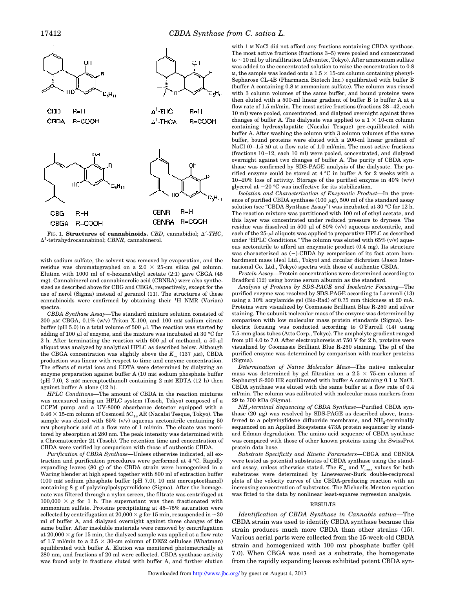

FIG. 1. **Structures of cannabinoids.** CBD, cannabidiol;  $\Delta^1$ -THC,  $\Delta^1$ -tetrahydrocannabinol; *CBNR*, cannabinerol.

with sodium sulfate, the solvent was removed by evaporation, and the residue was chromatographed on a  $2.0 \times 25$ -cm silica gel column. Elution with 1000 ml of *n*-hexane/ethyl acetate (2:1) gave CBGA (45 mg). Cannabinerol and cannabinerolic acid (CBNRA) were also synthesized as described above for CBG and CBGA, respectively, except for the use of nerol (Sigma) instead of geraniol (11). The structures of these cannabinoids were confirmed by obtaining their  ${}^{1}H$  NMR (Varian) spectra.

*CBDA Synthase Assay—*The standard mixture solution consisted of 200  $\mu$ M CBGA, 0.1% (w/v) Triton X-100, and 100 mm sodium citrate buffer (pH 5.0) in a total volume of 500  $\mu$ l. The reaction was started by adding of 100  $\mu$ l of enzyme, and the mixture was incubated at 30 °C for 2 h. After terminating the reaction with 600  $\mu$ l of methanol, a 50- $\mu$ l aliquot was analyzed by analytical HPLC as described below. Although the CBGA concentration was slightly above the  $K_m$  (137  $\mu$ M), CBDA production was linear with respect to time and enzyme concentration. The effects of metal ions and EDTA were determined by dialyzing an enzyme preparation against buffer A (10 mM sodium phosphate buffer (pH 7.0), 3 mM mercaptoethanol) containing 2 mM EDTA (12 h) then against buffer A alone (12 h).

*HPLC Conditions—*The amount of CBDA in the reaction mixtures was measured using an HPLC system (Tosoh, Tokyo) composed of a CCPM pump and a UV-8000 absorbance detector equipped with a  $0.46 \times 15$  cm column of Cosmosil  $5 \text{C}_{18}$  AR (Nacalai Tesque, Tokyo). The sample was eluted with 65% (v/v) aqueous acetonitrile containing 50 mM phosphoric acid at a flow rate of 1 ml/min. The eluate was monitored by absorption at 280 nm. The peak intensity was determined with a Chromatocorder 21 (Tosoh). The retention time and concentration of CBDA were verified by comparison with those of authentic CBDA.

*Purification of CBDA Synthase—*Unless otherwise indicated, all extraction and purification procedures were performed at 4 °C. Rapidly expanding leaves (80 g) of the CBDA strain were homogenized in a Waring blender at high speed together with 800 ml of extraction buffer (100 mM sodium phosphate buffer (pH 7.0), 10 mM mercaptoethanol) containing 8 g of polyvinylpolypyrrolidone (Sigma). After the homogenate was filtered through a nylon screen, the filtrate was centrifuged at 100,000  $\times$  g for 1 h. The supernatant was then fractionated with ammonium sulfate. Proteins precipitating at 45–75% saturation were collected by centrifugation at  $20,000 \times g$  for 15 min, resuspended in  $\sim 30$ ml of buffer A, and dialyzed overnight against three changes of the same buffer. After insoluble materials were removed by centrifugation at  $20,000 \times g$  for 15 min, the dialyzed sample was applied at a flow rate of 1.7 ml/min to a  $2.5 \times 30$ -cm column of DE52 cellulose (Whatman) equilibrated with buffer A. Elution was monitored photometrically at 280 nm, and fractions of 20 ml were collected. CBDA synthase activity was found only in fractions eluted with buffer A, and further elution

with 1 M NaCl did not afford any fractions containing CBDA synthase. The most active fractions (fractions 3–5) were pooled and concentrated to  $\sim$ 10 ml by ultrafiltration (Advantec, Tokyo). After ammonium sulfate was added to the concentrated solution to raise the concentration to 0.8 M, the sample was loaded onto a  $1.5 \times 15$ -cm column containing phenyl-Sepharose CL-4B (Pharmacia Biotech Inc.) equilibrated with buffer B (buffer A containing 0.8 M ammonium sulfate). The column was rinsed with 3 column volumes of the same buffer, and bound proteins were then eluted with a 500-ml linear gradient of buffer B to buffer A at a flow rate of 1.5 ml/min. The most active fractions (fractions 38–42, each 10 ml) were pooled, concentrated, and dialyzed overnight against three changes of buffer A. The dialysate was applied to a  $1 \times 10$ -cm column containing hydroxylapatite (Nacalai Tesque) pre-equilibrated with buffer A. After washing the column with 3 column volumes of the same buffer, bound proteins were eluted with a 200-ml linear gradient of NaCl (0-1.5 M) at a flow rate of 1.0 ml/min. The most active fractions (fractions 10–12, each 10 ml) were pooled, concentrated, and dialyzed overnight against two changes of buffer A. The purity of CBDA synthase was confirmed by SDS-PAGE analysis of the dialysate. The purified enzyme could be stored at 4 °C in buffer A for 2 weeks with a 10–20% loss of activity. Storage of the purified enzyme in 40% (w/v) glycerol at  $-20$  °C was ineffective for its stabilization.

*Isolation and Characterization of Enzymatic Product—*In the presence of purified CBDA synthase (100  $\mu$ g), 500 ml of the standard assay solution (see "CBDA Synthase Assay") was incubated at 30 °C for 12 h. The reaction mixture was partitioned with 100 ml of ethyl acetate, and this layer was concentrated under reduced pressure to dryness. The residue was dissolved in 500  $\mu$ l of 80% (v/v) aqueous acetonitrile, and each of the  $25-\mu l$  aliquots was applied to preparative HPLC as described under "HPLC Conditions." The column was eluted with  $65\%$  (v/v) aqueous acetonitrile to afford an enzymatic product (0.4 mg). Its structure was characterized as  $(-)$ -CBDA by comparison of its fast atom bombardment mass (Jeol Ltd., Tokyo) and circular dichroism (Jasco International Co. Ltd., Tokyo) spectra with those of authentic CBDA.

*Protein Assay—*Protein concentrations were determined according to Bradford (12) using bovine serum albumin as the standard.

*Analysis of Proteins by SDS-PAGE and Isoelectric Focusing—*The purified enzyme was resolved by SDS-PAGE according to Laemmli (13) using a 10% acrylamide gel (Bio-Rad) of 0.75 mm thickness at 20 mA. Proteins were visualized by Coomassie Brilliant Blue R-250 and silver staining. The subunit molecular mass of the enzyme was determined by comparison with low molecular mass protein standards (Sigma). Isoelectric focusing was conducted according to O'Farrell (14) using 7.5-mm glass tubes (Atto Corp., Tokyo). The ampholyte gradient ranged from pH 4.0 to 7.0. After electrophoresis at 750 V for 2 h, proteins were visualized by Coomassie Brilliant Blue R-250 staining. The pI of the purified enzyme was determined by comparison with marker proteins (Sigma).

*Determination of Native Molecular Mass—*The native molecular mass was determined by gel filtration on a  $2.5 \times 75$ -cm column of Sephacryl S-200 HR equilibrated with buffer A containing 0.1 M NaCl. CBDA synthase was eluted with the same buffer at a flow rate of 0.4 ml/min. The column was calibrated with molecular mass markers from 29 to 700 kDa (Sigma).

*NH<sup>2</sup> -terminal Sequencing of CBDA Synthase—*Purified CBDA synthase (20  $\mu$ g) was resolved by SDS-PAGE as described above, transferred to a polyvinylidene difluoride membrane, and  $\mathrm{NH}_2$ -terminally sequenced on an Applied Biosystems 473A protein sequencer by standard Edman degradation. The amino acid sequence of CBDA synthase was compared with those of other known proteins using the SwissProt protein data base.

*Substrate Specificity and Kinetic Parameters—*CBGA and CBNRA were tested as potential substrates of CBDA synthase using the standard assay, unless otherwise stated. The *K<sup>m</sup>* and *V*max values for both substrates were determined by Lineweaver-Burk double-reciprocal plots of the velocity curves of the CBDA-producing reaction with an increasing concentration of substrates. The Michaelis-Menten equation was fitted to the data by nonlinear least-squares regression analysis.

#### RESULTS

*Identification of CBDA Synthase in Cannabis sativa—*The CBDA strain was used to identify CBDA synthase because this strain produces much more CBDA than other strains (15). Various aerial parts were collected from the 15-week-old CBDA strain and homogenized with 100 mm phosphate buffer (pH 7.0). When CBGA was used as a substrate, the homogenate from the rapidly expanding leaves exhibited potent CBDA syn-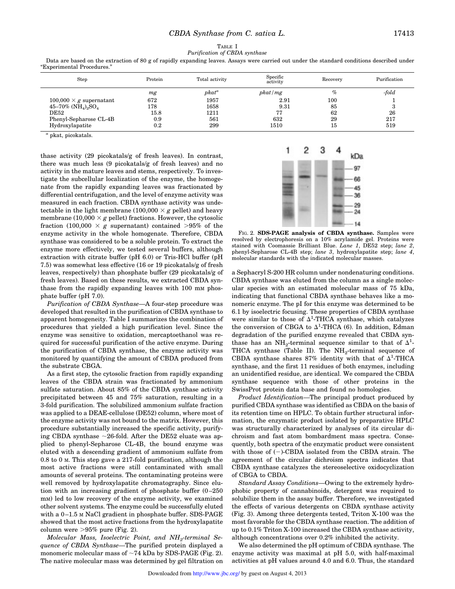## TABLE I *Purification of CBDA synthase*

| Step                                                   | Protein | Total activity | Specific<br>activity | Recovery | Purification |
|--------------------------------------------------------|---------|----------------|----------------------|----------|--------------|
|                                                        | mg      | $pkat^a$       | pkat/mg              | $\%$     | -fold        |
| $100,000 \times g$ supernatant                         | 672     | 1957           | 2.91                 | 100      |              |
| 45–70% (NH <sub>4</sub> ) <sub>2</sub> SO <sub>4</sub> | 178     | 1658           | 9.31                 | 85       |              |
| DE52                                                   | 15.8    | 1211           | 77                   | 62       | 26           |
| Phenyl-Sepharose CL-4B                                 | 0.9     | 561            | 632                  | 29       | 217          |
| Hydroxylapatite                                        | $0.2\,$ | 299            | 1510                 | 15       | 519          |
|                                                        |         |                |                      |          |              |

Data are based on the extraction of 80 g of rapidly expanding leaves. Assays were carried out under the standard conditions described under "Experimental Procedures."

*a* pkat, picokatals.

thase activity (29 picokatals/g of fresh leaves). In contrast, there was much less (9 picokatals/g of fresh leaves) and no activity in the mature leaves and stems, respectively. To investigate the subcellular localization of the enzyme, the homogenate from the rapidly expanding leaves was fractionated by differential centrifugation, and the level of enzyme activity was measured in each fraction. CBDA synthase activity was undetectable in the light membrane (100,000  $\times$  *g* pellet) and heavy membrane (10,000  $\times$  *g* pellet) fractions. However, the cytosolic fraction (100,000  $\times$  g supernatant) contained  $>95\%$  of the enzyme activity in the whole homogenate. Therefore, CBDA synthase was considered to be a soluble protein. To extract the enzyme more effectively, we tested several buffers, although extraction with citrate buffer (pH 6.0) or Tris-HCl buffer (pH 7.5) was somewhat less effective (16 or 19 picokatals/g of fresh leaves, respectively) than phosphate buffer (29 picokatals/g of fresh leaves). Based on these results, we extracted CBDA synthase from the rapidly expanding leaves with 100 mm phosphate buffer (pH 7.0).

*Purification of CBDA Synthase—*A four-step procedure was developed that resulted in the purification of CBDA synthase to apparent homogeneity. Table I summarizes the combination of procedures that yielded a high purification level. Since the enzyme was sensitive to oxidation, mercaptoethanol was required for successful purification of the active enzyme. During the purification of CBDA synthase, the enzyme activity was monitored by quantifying the amount of CBDA produced from the substrate CBGA.

As a first step, the cytosolic fraction from rapidly expanding leaves of the CBDA strain was fractionated by ammonium sulfate saturation. About 85% of the CBDA synthase activity precipitated between 45 and 75% saturation, resulting in a 3-fold purification. The solubilized ammonium sulfate fraction was applied to a DEAE-cellulose (DE52) column, where most of the enzyme activity was not bound to the matrix. However, this procedure substantially increased the specific activity, purifying CBDA synthase  $\sim$ 26-fold. After the DE52 eluate was applied to phenyl-Sepharose CL-4B, the bound enzyme was eluted with a descending gradient of ammonium sulfate from 0.8 to 0 M. This step gave a 217-fold purification, although the most active fractions were still contaminated with small amounts of several proteins. The contaminating proteins were well removed by hydroxylapatite chromatography. Since elution with an increasing gradient of phosphate buffer (0–250 mM) led to low recovery of the enzyme activity, we examined other solvent systems. The enzyme could be successfully eluted with a 0-1.5 M NaCl gradient in phosphate buffer. SDS-PAGE showed that the most active fractions from the hydroxylapatite column were  $>95\%$  pure (Fig. 2).

*Molecular Mass, Isoelectric Point, and NH<sup>2</sup> -terminal Sequence of CBDA Synthase—*The purified protein displayed a monomeric molecular mass of  $\sim$ 74 kDa by SDS-PAGE (Fig. 2). The native molecular mass was determined by gel filtration on



FIG. 2. **SDS-PAGE analysis of CBDA synthase.** Samples were resolved by electrophoresis on a 10% acrylamide gel. Proteins were stained with Coomassie Brilliant Blue. *Lane 1*, DE52 step; *lane 2*, phenyl-Sepharose CL-4B step; *lane 3*, hydroxylapatite step; *lane 4*, molecular standards with the indicated molecular masses.

a Sephacryl S-200 HR column under nondenaturing conditions. CBDA synthase was eluted from the column as a single molecular species with an estimated molecular mass of 75 kDa, indicating that functional CBDA synthase behaves like a monomeric enzyme. The pI for this enzyme was determined to be 6.1 by isoelectric focusing. These properties of CBDA synthase were similar to those of  $\Delta^1$ -THCA synthase, which catalyzes the conversion of CBGA to  $\Delta^1$ -THCA (6). In addition, Edman degradation of the purified enzyme revealed that CBDA synthase has an NH<sub>2</sub>-terminal sequence similar to that of  $\Delta^1$ -THCA synthase (Table II). The  $NH_2$ -terminal sequence of CBDA synthase shares 87% identity with that of  $\Delta^1$ -THCA synthase, and the first 11 residues of both enzymes, including an unidentified residue, are identical. We compared the CBDA synthase sequence with those of other proteins in the SwissProt protein data base and found no homologies.

*Product Identification—*The principal product produced by purified CBDA synthase was identified as CBDA on the basis of its retention time on HPLC. To obtain further structural information, the enzymatic product isolated by preparative HPLC was structurally characterized by analyses of its circular dichroism and fast atom bombardment mass spectra. Consequently, both spectra of the enzymatic product were consistent with those of  $(-)$ -CBDA isolated from the CBDA strain. The agreement of the circular dichroism spectra indicates that CBDA synthase catalyzes the stereoselective oxidocyclization of CBGA to CBDA.

*Standard Assay Conditions—*Owing to the extremely hydrophobic property of cannabinoids, detergent was required to solubilize them in the assay buffer. Therefore, we investigated the effects of various detergents on CBDA synthase activity (Fig. 3). Among three detergents tested, Triton X-100 was the most favorable for the CBDA synthase reaction. The addition of up to 0.1% Triton X-100 increased the CBDA synthase activity, although concentrations over 0.2% inhibited the activity.

We also determined the pH optimum of CBDA synthase. The enzyme activity was maximal at pH 5.0, with half-maximal activities at pH values around 4.0 and 6.0. Thus, the standard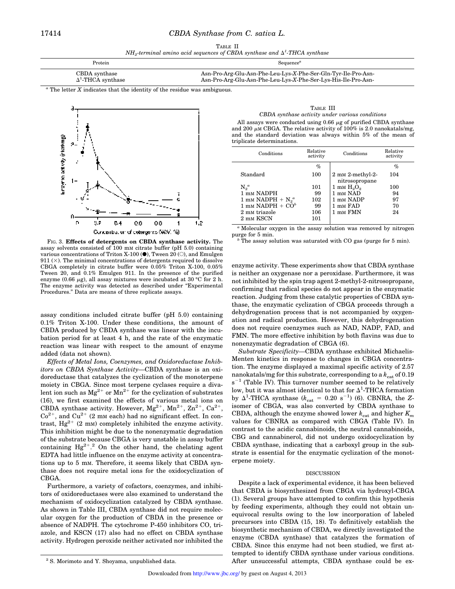### 17414 *CBDA Synthase from C. sativa L.*

|  | TABLE II |                                                                                      |
|--|----------|--------------------------------------------------------------------------------------|
|  |          | $NH_2$ -terminal amino acid sequences of CBDA synthase and $\Delta^1$ -THCA synthase |

| Protein                   | Sequence <sup>a</sup>                                          |
|---------------------------|----------------------------------------------------------------|
| CBDA synthase             | Asn-Pro-Arg-Glu-Asn-Phe-Leu-Lys-X-Phe-Ser-Gln-Tyr-Ile-Pro-Asn- |
| $\Delta^1$ -THCA synthase | Asn-Pro-Arg-Glu-Asn-Phe-Leu-Lys-X-Phe-Ser-Lys-His-Ile-Pro-Asn- |

*<sup>a</sup>* The letter *X* indicates that the identity of the residue was ambiguous.



FIG. 3. **Effects of detergents on CBDA synthase activity.** The assay solvents consisted of 100 mM citrate buffer (pH 5.0) containing various concentrations of Triton X-100 ( $\bullet$ ), Tween 20 ( $\circ$ ), and Emulgen 911  $(\times)$ . The minimal concentrations of detergents required to dissolve CBGA completely in citrate buffer were 0.05% Triton X-100, 0.05% Tween 20, and 0.1% Emulgen 911. In the presence of the purified enzyme (0.66  $\mu$ g), all assay mixtures were incubated at 30 °C for 2 h. The enzyme activity was detected as described under "Experimental Procedures." Data are means of three replicate assays.

assay conditions included citrate buffer (pH 5.0) containing 0.1% Triton X-100. Under these conditions, the amount of CBDA produced by CBDA synthase was linear with the incubation period for at least 4 h, and the rate of the enzymatic reaction was linear with respect to the amount of enzyme added (data not shown).

*Effects of Metal Ions, Coenzymes, and Oxidoreductase Inhibitors on CBDA Synthase Activity—*CBDA synthase is an oxidoreductase that catalyzes the cyclization of the monoterpene moiety in CBGA. Since most terpene cyclases require a divalent ion such as  $Mg^{2+}$  or  $Mn^{2+}$  for the cyclization of substrates (16), we first examined the effects of various metal ions on CBDA synthase activity. However,  $Mg^{2+}$ ,  $Mn^{2+}$ ,  $Zn^{2+}$ ,  $Ca^{2+}$ ,  $Co<sup>2+</sup>$ , and  $Cu<sup>2+</sup>$  (2 mm each) had no significant effect. In contrast,  $Hg^{2+}$  (2 mm) completely inhibited the enzyme activity. This inhibition might be due to the nonenzymatic degradation of the substrate because CBGA is very unstable in assay buffer containing  $Hg^{2+}$ .<sup>2</sup> On the other hand, the chelating agent EDTA had little influence on the enzyme activity at concentrations up to 5 mM. Therefore, it seems likely that CBDA synthase does not require metal ions for the oxidocyclization of CBGA.

Furthermore, a variety of cofactors, coenzymes, and inhibitors of oxidoreductases were also examined to understand the mechanism of oxidocyclization catalyzed by CBDA synthase. As shown in Table III, CBDA synthase did not require molecular oxygen for the production of CBDA in the presence or absence of NADPH. The cytochrome P-450 inhibitors CO, triazole, and KSCN (17) also had no effect on CBDA synthase activity. Hydrogen peroxide neither activated nor inhibited the

| TABLE III                                                              |
|------------------------------------------------------------------------|
| CBDA synthase activity under various conditions                        |
| All assays were conducted using 0.66 $\mu$ g of purified CBDA synthase |

and 200  $\mu$ M CBGA. The relative activity of 100% is 2.0 nanokatals/mg, and the standard deviation was always within 5% of the mean of triplicate determinations.

| Conditions           | Relative<br>activity | Conditions                                     | Relative<br>activity |
|----------------------|----------------------|------------------------------------------------|----------------------|
|                      | $\%$                 |                                                | %                    |
| Standard             | 100                  | $2 \text{ mm } 2$ -methyl-2-<br>nitrosopropane | 104                  |
| $N_2^a$              | 101                  | $1 \text{ mm H}_{2}O_{2}$                      | 100                  |
| 1 mm NADPH           | 99                   | 1 mm NAD                                       | 94                   |
| 1 mm NADPH + $N_2^a$ | 102                  | 1 mm NADP                                      | 97                   |
| 1 mm NADPH $+ COb$   | 99                   | 1 mm FAD                                       | 70                   |
| 2 mm triazole        | 106                  | 1 mm FMN                                       | 24                   |
| 2 mm KSCN            | 101                  |                                                |                      |

*<sup>a</sup>* Molecular oxygen in the assay solution was removed by nitrogen purge for 5 min.

*<sup>b</sup>* The assay solution was saturated with CO gas (purge for 5 min).

enzyme activity. These experiments show that CBDA synthase is neither an oxygenase nor a peroxidase. Furthermore, it was not inhibited by the spin trap agent 2-methyl-2-nitrosopropane, confirming that radical species do not appear in the enzymatic reaction. Judging from these catalytic properties of CBDA synthase, the enzymatic cyclization of CBGA proceeds through a dehydrogenation process that is not accompanied by oxygenation and radical production. However, this dehydrogenation does not require coenzymes such as NAD, NADP, FAD, and FMN. The more effective inhibition by both flavins was due to nonenzymatic degradation of CBGA (6).

*Substrate Specificity—*CBDA synthase exhibited Michaelis-Menten kinetics in response to changes in CBGA concentration. The enzyme displayed a maximal specific activity of 2.57 nanokatals/mg for this substrate, corresponding to a  $k_{\text{est}}$  of 0.19  $s^{-1}$  (Table IV). This turnover number seemed to be relatively low, but it was almost identical to that for  $\Delta^1\text{-THCA}$  formation by  $\Delta^1$ -THCA synthase ( $k_{\text{cat}} = 0.20 \text{ s}^{-1}$ ) (6). CBNRA, the *Z*isomer of CBGA, was also converted by CBDA synthase to CBDA, although the enzyme showed lower  $k_{\text{cat}}$  and higher  $K_m$ values for CBNRA as compared with CBGA (Table IV). In contrast to the acidic cannabinoids, the neutral cannabinoids, CBG and cannabinerol, did not undergo oxidocyclization by CBDA synthase, indicating that a carboxyl group in the substrate is essential for the enzymatic cyclization of the monoterpene moiety.

#### DISCUSSION

Despite a lack of experimental evidence, it has been believed that CBDA is biosynthesized from CBGA via hydroxyl-CBGA (1). Several groups have attempted to confirm this hypothesis by feeding experiments, although they could not obtain unequivocal results owing to the low incorporation of labeled precursors into CBDA (15, 18). To definitively establish the biosynthetic mechanism of CBDA, we directly investigated the enzyme (CBDA synthase) that catalyzes the formation of CBDA. Since this enzyme had not been studied, we first attempted to identify CBDA synthase under various conditions. <sup>2</sup> S. Morimoto and Y. Shoyama, unpublished data. After unsuccessful attempts, CBDA synthase could be ex-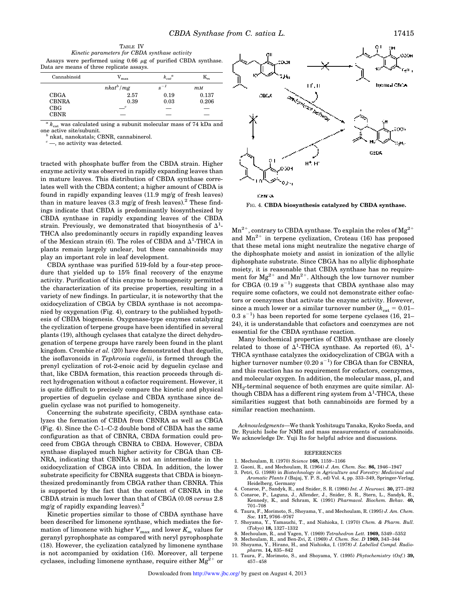TABLE IV *Kinetic parameters for CBDA synthase activity* Assays were performed using  $0.66 \mu g$  of purified CBDA synthase. Data are means of three replicate assays.

| Cannabinoid  | $\rm{V_{max}}$ | $k_{cat}^{\phantom{cat}a}$ | $\mathbf{m}$ |
|--------------|----------------|----------------------------|--------------|
|              | $nkat^b/mg$    | $s^{-1}$                   | $m$ M        |
| <b>CBGA</b>  | 2.57           | 0.19                       | 0.137        |
| <b>CBNRA</b> | 0.39           | 0.03                       | 0.206        |
| CBG          | $\overline{c}$ |                            |              |
| <b>CBNR</b>  |                |                            |              |

 $^{a}$   $k_{\mathrm{cat}}$  was calculated using a subunit molecular mass of 74 kDa and one active site/subunit.

*b* nkat, nanokatals; CBNR, cannabinerol.

 $-$ , no activity was detected.

tracted with phosphate buffer from the CBDA strain. Higher enzyme activity was observed in rapidly expanding leaves than in mature leaves. This distribution of CBDA synthase correlates well with the CBDA content; a higher amount of CBDA is found in rapidly expanding leaves (11.9 mg/g of fresh leaves) than in mature leaves  $(3.3 \text{ mg/g of fresh leaves})$ .<sup>2</sup> These findings indicate that CBDA is predominantly biosynthesized by CBDA synthase in rapidly expanding leaves of the CBDA strain. Previously, we demonstrated that biosynthesis of  $\Delta^1$ -THCA also predominantly occurs in rapidly expanding leaves of the Mexican strain (6). The roles of CBDA and  $\Delta^1$ -THCA in plants remain largely unclear, but these cannabinoids may play an important role in leaf development.

CBDA synthase was purified 519-fold by a four-step procedure that yielded up to 15% final recovery of the enzyme activity. Purification of this enzyme to homogeneity permitted the characterization of its precise properties, resulting in a variety of new findings. In particular, it is noteworthy that the oxidocyclization of CBGA by CBDA synthase is not accompanied by oxygenation (Fig. 4), contrary to the published hypothesis of CBDA biogenesis. Oxygenase-type enzymes catalyzing the cyclization of terpene groups have been identified in several plants (19), although cyclases that catalyze the direct dehydrogenation of terpene groups have rarely been found in the plant kingdom. Crombie *et al.* (20) have demonstrated that deguelin, the isoflavonoids in *Tephrosia vogelii*, is formed through the prenyl cyclization of rot-2-enoic acid by deguelin cyclase and that, like CBDA formation, this reaction proceeds through direct hydrogenation without a cofactor requirement. However, it is quite difficult to precisely compare the kinetic and physical properties of deguelin cyclase and CBDA synthase since deguelin cyclase was not purified to homogeneity.

Concerning the substrate specificity, CBDA synthase catalyzes the formation of CBDA from CBNRA as well as CBGA (Fig. 4). Since the C-1–C-2 double bond of CBDA has the same configuration as that of CBNRA, CBDA formation could proceed from CBGA through CBNRA to CBDA. However, CBDA synthase displayed much higher activity for CBGA than CB-NRA, indicating that CBNRA is not an intermediate in the oxidocyclization of CBGA into CBDA. In addition, the lower substrate specificity for CBNRA suggests that CBDA is biosynthesized predominantly from CBGA rather than CBNRA. This is supported by the fact that the content of CBNRA in the CBDA strain is much lower than that of CBGA (0.08 *versus* 2.8 mg/g of rapidly expanding leaves). $^{2}$ 

Kinetic properties similar to those of CBDA synthase have been described for limonene synthase, which mediates the formation of limonene with higher  $V_{\text{max}}$  and lower  $K_m$  values for geranyl pyrophosphate as compared with neryl pyrophosphate (18). However, the cyclization catalyzed by limonene synthase is not accompanied by oxidation (16). Moreover, all terpene cyclases, including limonene synthase, require either  ${ {\rm Mg} ^{2+} }$  or



FIG. 4. **CBDA biosynthesis catalyzed by CBDA synthase.**

 $Mn^{2+}$ , contrary to CBDA synthase. To explain the roles of  $Mg^{2+}$ and  $Mn^{2+}$  in terpene cyclization, Croteau (16) has proposed that these metal ions might neutralize the negative charge of the diphosphate moiety and assist in ionization of the allylic diphosphate substrate. Since CBGA has no allylic diphosphate moiety, it is reasonable that CBDA synthase has no requirement for  $Mg^{2+}$  and  $Mn^{2+}$ . Although the low turnover number for CBGA  $(0.19 s<sup>-1</sup>)$  suggests that CBDA synthase also may require some cofactors, we could not demonstrate either cofactors or coenzymes that activate the enzyme activity. However, since a much lower or a similar turnover number  $(k_{\text{cat}} = 0.01 0.3 \text{ s}^{-1}$ ) has been reported for some terpene cyclases (16, 21– 24), it is understandable that cofactors and coenzymes are not essential for the CBDA synthase reaction.

Many biochemical properties of CBDA synthase are closely related to those of  $\Delta^1$ -THCA synthase. As reported (6),  $\Delta^1$ -THCA synthase catalyzes the oxidocyclization of CBGA with a higher turnover number  $(0.20 \text{ s}^{-1})$  for CBGA than for CBNRA, and this reaction has no requirement for cofactors, coenzymes, and molecular oxygen. In addition, the molecular mass, pI, and  $\mathrm{NH}_2$ -terminal sequence of both enzymes are quite similar. Although CBDA has a different ring system from  $\Delta^1$ -THCA, these similarities suggest that both cannabinoids are formed by a similar reaction mechanism.

*Acknowledgments—*We thank Yoshitsugu Tanaka, Kyoko Soeda, and Dr. Ryuichi Isobe for NMR and mass measurements of cannabinoids. We acknowledge Dr. Yuji Ito for helpful advice and discussions.

#### **REFERENCES**

- 1. Mechoulam, R. (1970) *Science* **168,** 1159–1166
- 2. Gaoni, R., and Mechoulam, R. (1964) *J. Am. Chem. Soc.* **86,** 1946–1947
- 3. Petri, G. (1988) in *Biotechnology in Agriculture and Forestry: Medicinal and Aromatic Plants I* (Bajaj, Y. P. S., ed) Vol. 4, pp. 333–349, Springer-Verlag, Heidelberg, Germany
- 4. Consroe, P., Sandyk, R., and Snider, S. R. (1986) *Int. J. Neurosci.* **30,** 277–282
- 5. Consroe, P., Laguna, J., Allender, J., Snider, S. R., Stern, L., Sandyk, R., Kennedy, K., and Schram, K. (1991) *Pharmacol. Biochem. Behav.* **40,** 701–708
- 6. Taura, F., Morimoto, S., Shoyama, Y., and Mechoulam, R. (1995) *J. Am. Chem. Soc.* **117,** 9766–9767
- 7. Shoyama, Y., Yamauchi, T., and Nishioka, I. (1970) *Chem. & Pharm. Bull.* (*Tokyo*) **18,** 1327–1332
- 8. Mechoulam, R., and Yagen, Y. (1969) *Tetrahedron Lett.* **1969,** 5349–5352
- 9. Mechoulam, R., and Ben-Zvi, Z. (1969) *J. Chem. Soc. D* **1969,** 343–344 10. Shoyama, Y., Hirano, H., and Nishioka, I. (1978) *J. Labelled Compd. Radio-*
- *pharm.* **14,** 835–842 11. Taura, F., Morimoto, S., and Shoyama, Y. (1995) *Phytochemistry* (*Oxf.*) **39,** 457–458